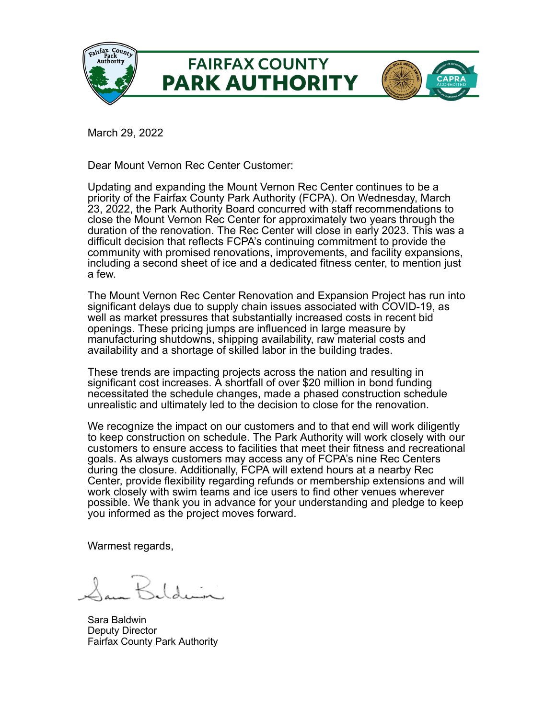

March 29, 2022

Dear Mount Vernon Rec Center Customer:

Updating and expanding the Mount Vernon Rec Center continues to be a priority of the Fairfax County Park Authority (FCPA). On Wednesday, March 23, 2022, the Park Authority Board concurred with staff recommendations to close the Mount Vernon Rec Center for approximately two years through the duration of the renovation. The Rec Center will close in early 2023. This was a difficult decision that reflects FCPA's continuing commitment to provide the community with promised renovations, improvements, and facility expansions, including a second sheet of ice and a dedicated fitness center, to mention just a few.

The Mount Vernon Rec Center Renovation and Expansion Project has run into significant delays due to supply chain issues associated with COVID-19, as well as market pressures that substantially increased costs in recent bid openings. These pricing jumps are influenced in large measure by manufacturing shutdowns, shipping availability, raw material costs and availability and a shortage of skilled labor in the building trades.

These trends are impacting projects across the nation and resulting in significant cost increases. A shortfall of over \$20 million in bond funding necessitated the schedule changes, made a phased construction schedule unrealistic and ultimately led to the decision to close for the renovation.

We recognize the impact on our customers and to that end will work diligently to keep construction on schedule. The Park Authority will work closely with our customers to ensure access to facilities that meet their fitness and recreational goals. As always customers may access any of FCPA's nine Rec Centers during the closure. Additionally, FCPA will extend hours at a nearby Rec Center, provide flexibility regarding refunds or membership extensions and will work closely with swim teams and ice users to find other venues wherever possible. We thank you in advance for your understanding and pledge to keep you informed as the project moves forward.

Warmest regards,

Sara Baldwin Deputy Director Fairfax County Park Authority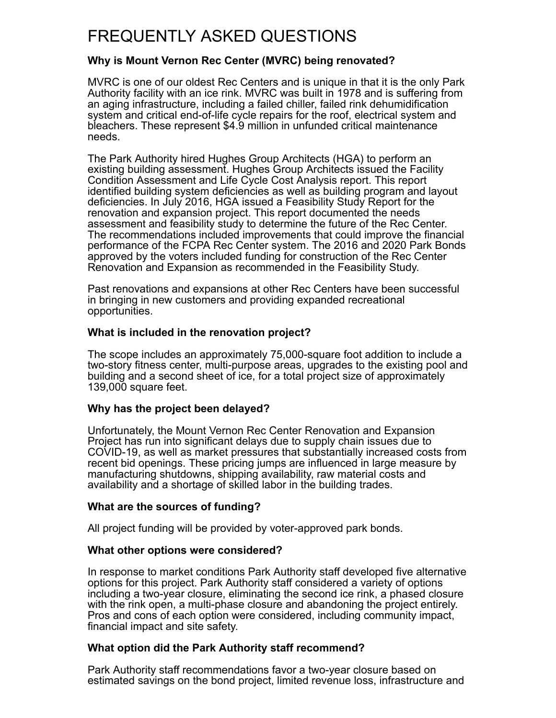# FREQUENTLY ASKED QUESTIONS

## **Why is Mount Vernon Rec Center (MVRC) being renovated?**

MVRC is one of our oldest Rec Centers and is unique in that it is the only Park Authority facility with an ice rink. MVRC was built in 1978 and is suffering from an aging infrastructure, including a failed chiller, failed rink dehumidification system and critical end-of-life cycle repairs for the roof, electrical system and bleachers. These represent \$4.9 million in unfunded critical maintenance needs.

The Park Authority hired Hughes Group Architects (HGA) to perform an existing building assessment. Hughes Group Architects issued the Facility Condition Assessment and Life Cycle Cost Analysis report. This report identified building system deficiencies as well as building program and layout deficiencies. In July 2016, HGA issued a Feasibility Study Report for the renovation and expansion project. This report documented the needs assessment and feasibility study to determine the future of the Rec Center. The recommendations included improvements that could improve the financial performance of the FCPA Rec Center system. The 2016 and 2020 Park Bonds approved by the voters included funding for construction of the Rec Center Renovation and Expansion as recommended in the Feasibility Study.

Past renovations and expansions at other Rec Centers have been successful in bringing in new customers and providing expanded recreational opportunities.

# **What is included in the renovation project?**

The scope includes an approximately 75,000-square foot addition to include a two-story fitness center, multi-purpose areas, upgrades to the existing pool and building and a second sheet of ice, for a total project size of approximately 139,000 square feet.

## **Why has the project been delayed?**

Unfortunately, the Mount Vernon Rec Center Renovation and Expansion Project has run into significant delays due to supply chain issues due to COVID-19, as well as market pressures that substantially increased costs from recent bid openings. These pricing jumps are influenced in large measure by manufacturing shutdowns, shipping availability, raw material costs and availability and a shortage of skilled labor in the building trades.

## **What are the sources of funding?**

All project funding will be provided by voter-approved park bonds.

## **What other options were considered?**

In response to market conditions Park Authority staff developed five alternative options for this project. Park Authority staff considered a variety of options including a two-year closure, eliminating the second ice rink, a phased closure with the rink open, a multi-phase closure and abandoning the project entirely. Pros and cons of each option were considered, including community impact, financial impact and site safety.

## **What option did the Park Authority staff recommend?**

Park Authority staff recommendations favor a two-year closure based on estimated savings on the bond project, limited revenue loss, infrastructure and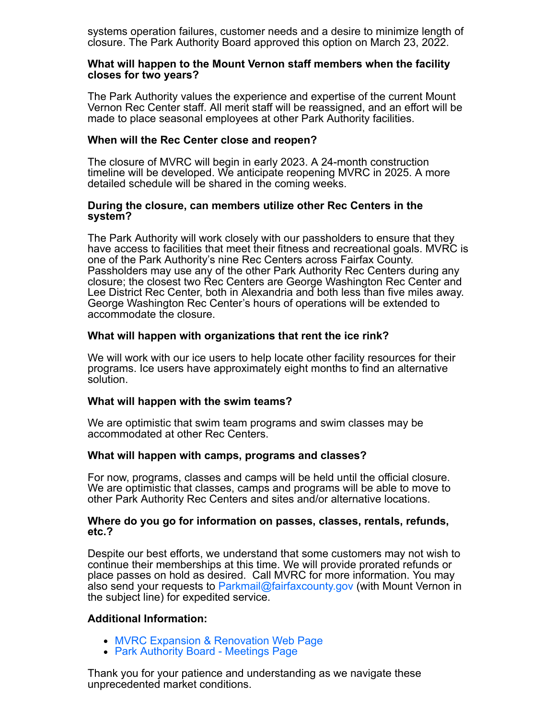systems operation failures, customer needs and a desire to minimize length of closure. The Park Authority Board approved this option on March 23, 2022.

#### **What will happen to the Mount Vernon staff members when the facility closes for two years?**

The Park Authority values the experience and expertise of the current Mount Vernon Rec Center staff. All merit staff will be reassigned, and an effort will be made to place seasonal employees at other Park Authority facilities.

## **When will the Rec Center close and reopen?**

The closure of MVRC will begin in early 2023. A 24-month construction timeline will be developed. We anticipate reopening MVRC in 2025. A more detailed schedule will be shared in the coming weeks.

#### **During the closure, can members utilize other Rec Centers in the system?**

The Park Authority will work closely with our passholders to ensure that they have access to facilities that meet their fitness and recreational goals. MVRC is one of the Park Authority's nine Rec Centers across Fairfax County. Passholders may use any of the other Park Authority Rec Centers during any closure; the closest two Rec Centers are George Washington Rec Center and Lee District Rec Center, both in Alexandria and both less than five miles away. George Washington Rec Center's hours of operations will be extended to accommodate the closure.

## **What will happen with organizations that rent the ice rink?**

We will work with our ice users to help locate other facility resources for their programs. Ice users have approximately eight months to find an alternative solution.

## **What will happen with the swim teams?**

We are optimistic that swim team programs and swim classes may be accommodated at other Rec Centers.

## **What will happen with camps, programs and classes?**

For now, programs, classes and camps will be held until the official closure. We are optimistic that classes, camps and programs will be able to move to other Park Authority Rec Centers and sites and/or alternative locations.

#### **Where do you go for information on passes, classes, rentals, refunds, etc.?**

Despite our best efforts, we understand that some customers may not wish to continue their memberships at this time. We will provide prorated refunds or place passes on hold as desired. Call MVRC for more information. You may also send your requests to [Parkmail@fairfaxcounty.gov](mailto:Parkmail@fairfaxcounty.gov?subject=Mount%20Vernon%20Rec%20Center) (with Mount Vernon in the subject line) for expedited service.

## **Additional Information:**

- [MVRC Expansion & Renovation Web Page](http://links.parks.fairfaxcounty.gov/els/v2/NvPyTkVmymt3/L25XS2tGVjVoa2xHVUYwRFkzRzBoUWpBczRKR24yUmtYeVdxWlVOYkVoNnZyYk9SRjRaZDZXNTVUcmtHWkZjS1hkWU9IYm94azBGLzA2VmJCWE01ZzNIMmVHOTZ0akM2U2dmaHVaWDhSZWM9S0/)
- [Park Authority Board Meetings Page](http://links.parks.fairfaxcounty.gov/els/v2/yA-ZTX6yDytZ/L25XS2tGVjVoa2xHVUYwRFkzRzBoUWpBczRKR24yUmtYeVdxWlVOYkVoNnZyYk9SRjRaZDZXNTVUcmtHWkZjS1hkWU9IYm94azBGLzA2VmJCWE01ZzNIMmVHOTZ0akM2U2dmaHVaWDhSZWM9S0/)

Thank you for your patience and understanding as we navigate these unprecedented market conditions.